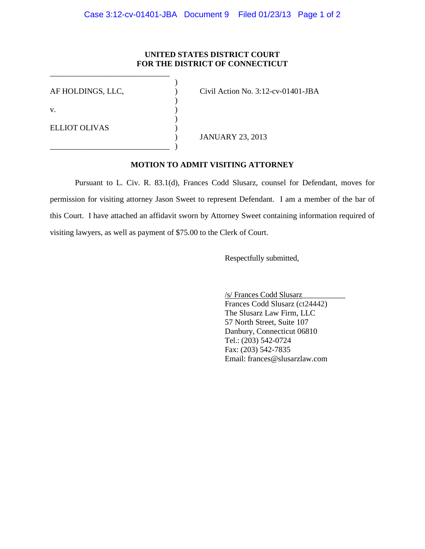## **UNITED STATES DISTRICT COURT FOR THE DISTRICT OF CONNECTICUT**

| AF HOLDINGS, LLC,    | Civil Action No. $3:12$ -cv-01401-JBA |
|----------------------|---------------------------------------|
| V.                   |                                       |
| <b>ELLIOT OLIVAS</b> |                                       |
|                      | <b>JANUARY 23, 2013</b>               |
|                      |                                       |

\_\_\_\_\_\_\_\_\_\_\_\_\_\_\_\_\_\_\_\_\_\_\_\_\_\_\_\_\_\_

## **MOTION TO ADMIT VISITING ATTORNEY**

 Pursuant to L. Civ. R. 83.1(d), Frances Codd Slusarz, counsel for Defendant, moves for permission for visiting attorney Jason Sweet to represent Defendant. I am a member of the bar of this Court. I have attached an affidavit sworn by Attorney Sweet containing information required of visiting lawyers, as well as payment of \$75.00 to the Clerk of Court.

Respectfully submitted,

 /s/ Frances Codd Slusarz\_\_\_\_\_\_\_\_\_\_\_ Frances Codd Slusarz (ct24442) The Slusarz Law Firm, LLC 57 North Street, Suite 107 Danbury, Connecticut 06810 Tel.: (203) 542-0724 Fax: (203) 542-7835 Email: frances@slusarzlaw.com